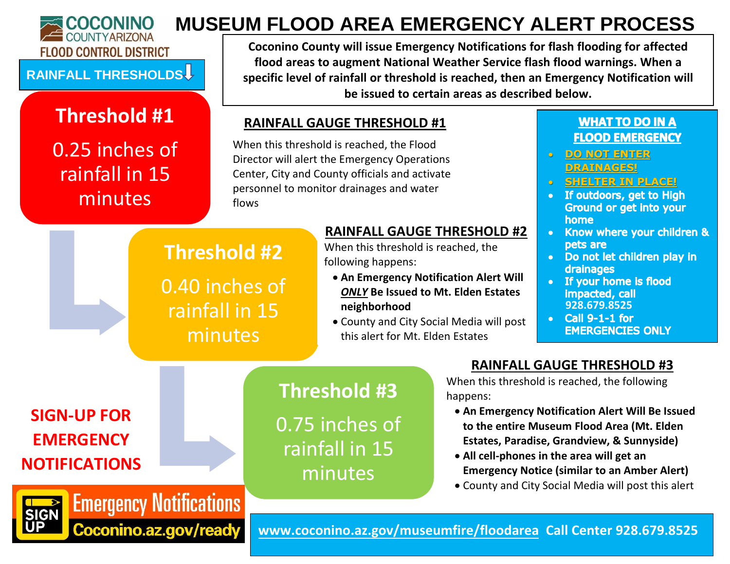